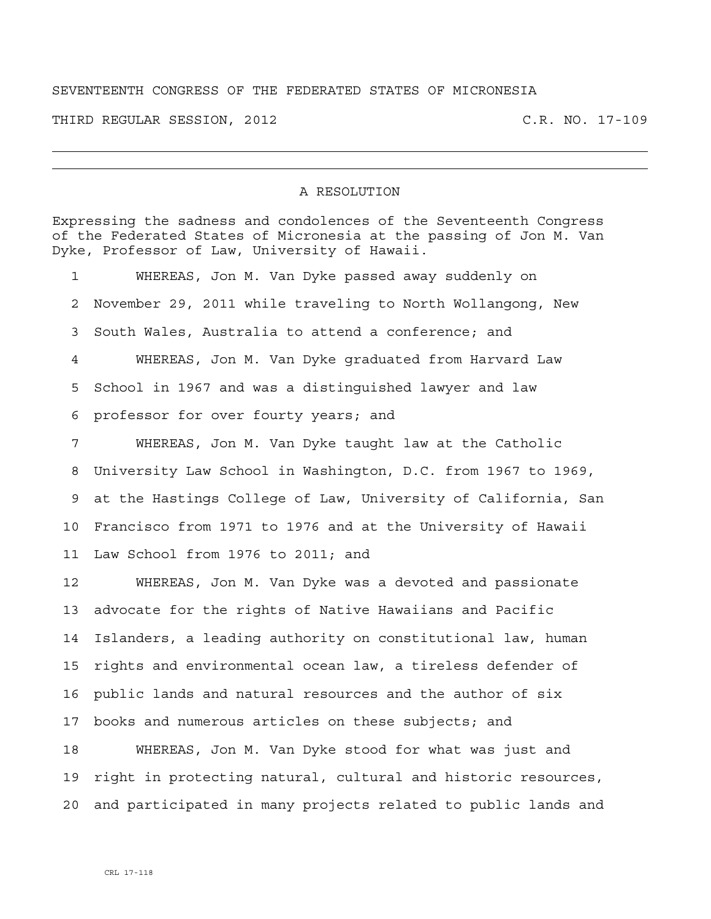## SEVENTEENTH CONGRESS OF THE FEDERATED STATES OF MICRONESIA

THIRD REGULAR SESSION, 2012 C.R. NO. 17-109

## A RESOLUTION

Expressing the sadness and condolences of the Seventeenth Congress of the Federated States of Micronesia at the passing of Jon M. Van Dyke, Professor of Law, University of Hawaii.

1 WHEREAS, Jon M. Van Dyke passed away suddenly on 2 November 29, 2011 while traveling to North Wollangong, New 3 South Wales, Australia to attend a conference; and 4 WHEREAS, Jon M. Van Dyke graduated from Harvard Law 5 School in 1967 and was a distinguished lawyer and law 6 professor for over fourty years; and 7 WHEREAS, Jon M. Van Dyke taught law at the Catholic 8 University Law School in Washington, D.C. from 1967 to 1969, 9 at the Hastings College of Law, University of California, San 10 Francisco from 1971 to 1976 and at the University of Hawaii 11 Law School from 1976 to 2011; and 12 WHEREAS, Jon M. Van Dyke was a devoted and passionate 13 advocate for the rights of Native Hawaiians and Pacific 14 Islanders, a leading authority on constitutional law, human 15 rights and environmental ocean law, a tireless defender of 16 public lands and natural resources and the author of six 17 books and numerous articles on these subjects; and

18 WHEREAS, Jon M. Van Dyke stood for what was just and 19 right in protecting natural, cultural and historic resources, 20 and participated in many projects related to public lands and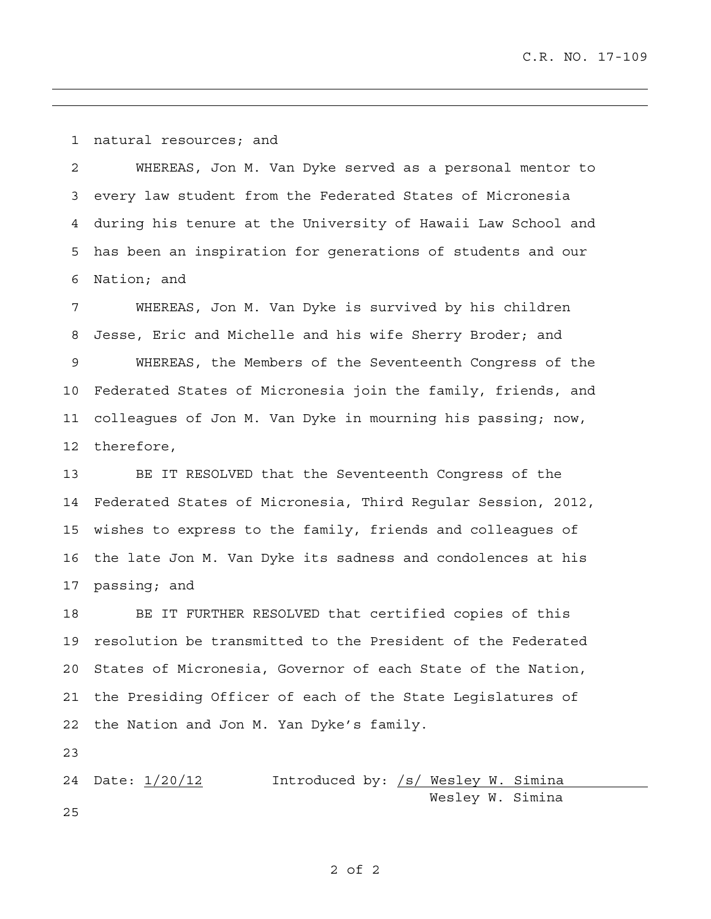1 natural resources; and

2 WHEREAS, Jon M. Van Dyke served as a personal mentor to 3 every law student from the Federated States of Micronesia 4 during his tenure at the University of Hawaii Law School and 5 has been an inspiration for generations of students and our 6 Nation; and

7 WHEREAS, Jon M. Van Dyke is survived by his children 8 Jesse, Eric and Michelle and his wife Sherry Broder; and 9 WHEREAS, the Members of the Seventeenth Congress of the 10 Federated States of Micronesia join the family, friends, and 11 colleagues of Jon M. Van Dyke in mourning his passing; now, 12 therefore,

13 BE IT RESOLVED that the Seventeenth Congress of the 14 Federated States of Micronesia, Third Regular Session, 2012, 15 wishes to express to the family, friends and colleagues of 16 the late Jon M. Van Dyke its sadness and condolences at his 17 passing; and

18 BE IT FURTHER RESOLVED that certified copies of this 19 resolution be transmitted to the President of the Federated 20 States of Micronesia, Governor of each State of the Nation, 21 the Presiding Officer of each of the State Legislatures of 22 the Nation and Jon M. Yan Dyke's family.

23

24 Date:  $1/20/12$  Introduced by: /s/ Wesley W. Simina Wesley W. Simina 25

## 2 of 2